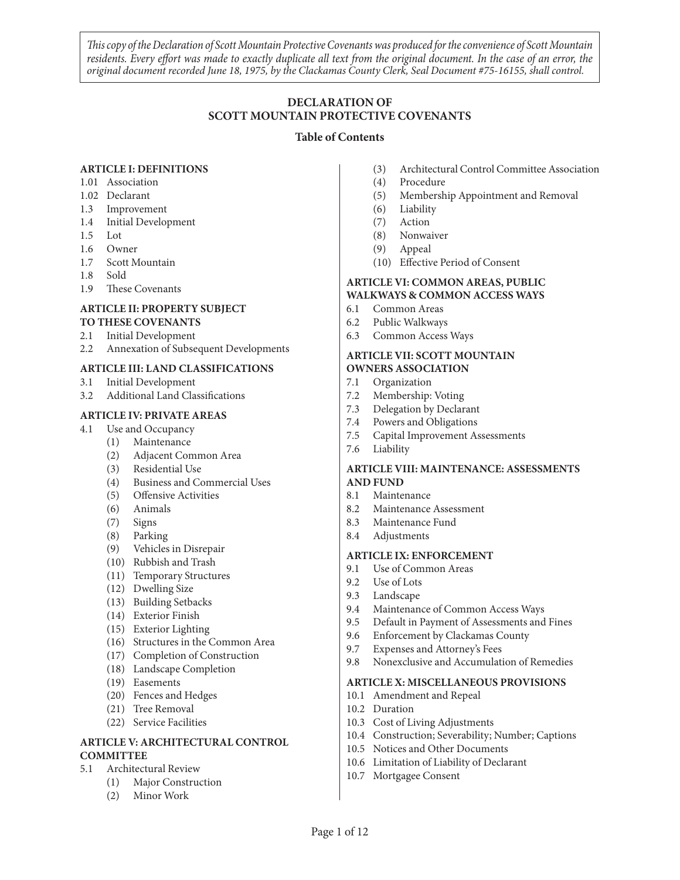*This copy of the Declaration of Scott Mountain Protective Covenants was produced for the convenience of Scott Mountain residents. Every effort was made to exactly duplicate all text from the original document. In the case of an error, the original document recorded June 18, 1975, by the Clackamas County Clerk, Seal Document #75-16155, shall control.*

# **DECLARATION OF SCOTT MOUNTAIN PROTECTIVE COVENANTS**

#### **Table of Contents**

#### **ARTICLE I: DEFINITIONS**

- 1.01 Association
- 1.02 Declarant
- 1.3 Improvement
- 1.4 Initial Development
- 1.5 Lot
- 1.6 Owner
- 1.7 Scott Mountain
- 1.8 Sold
- 1.9 These Covenants

#### **ARTICLE II: PROPERTY SUBJECT TO THESE COVENANTS**

- 2.1 Initial Development
- 2.2 Annexation of Subsequent Developments

### **ARTICLE III: LAND CLASSIFICATIONS**

- 3.1 Initial Development
- 3.2 Additional Land Classifications

### **ARTICLE IV: PRIVATE AREAS**

- 4.1 Use and Occupancy
	- (1) Maintenance
	- (2) Adjacent Common Area
	- (3) Residential Use
	- (4) Business and Commercial Uses
	- (5) Offensive Activities
	- (6) Animals
	- (7) Signs
	- (8) Parking
	- (9) Vehicles in Disrepair
	- (10) Rubbish and Trash
	- (11) Temporary Structures
	- (12) Dwelling Size
	- (13) Building Setbacks
	- (14) Exterior Finish
	- (15) Exterior Lighting
	- (16) Structures in the Common Area
	- (17) Completion of Construction
	- (18) Landscape Completion
	- (19) Easements
	- (20) Fences and Hedges
	- (21) Tree Removal
	- (22) Service Facilities

#### **ARTICLE V: ARCHITECTURAL CONTROL COMMITTEE**

- 5.1 Architectural Review
	- (1) Major Construction
	- (2) Minor Work
- (3) Architectural Control Committee Association
- (4) Procedure
- (5) Membership Appointment and Removal
- (6) Liability
- (7) Action
- (8) Nonwaiver
- (9) Appeal
- (10) Effective Period of Consent

#### **ARTICLE VI: COMMON AREAS, PUBLIC WALKWAYS & COMMON ACCESS WAYS**

- 6.1 Common Areas
- 6.2 Public Walkways
- 6.3 Common Access Ways

#### **ARTICLE VII: SCOTT MOUNTAIN OWNERS ASSOCIATION**

- 7.1 Organization
- 7.2 Membership: Voting
- 7.3 Delegation by Declarant
- 7.4 Powers and Obligations
- 7.5 Capital Improvement Assessments
- 7.6 Liability

#### **ARTICLE VIII: MAINTENANCE: ASSESSMENTS AND FUND**

- 8.1 Maintenance
- 8.2 Maintenance Assessment
- 8.3 Maintenance Fund
- 8.4 Adjustments

#### **ARTICLE IX: ENFORCEMENT**

- 9.1 Use of Common Areas
- 9.2 Use of Lots
- 9.3 Landscape
- 9.4 Maintenance of Common Access Ways
- 9.5 Default in Payment of Assessments and Fines
- 9.6 Enforcement by Clackamas County
- 9.7 Expenses and Attorney's Fees
- 9.8 Nonexclusive and Accumulation of Remedies

#### **ARTICLE X: MISCELLANEOUS PROVISIONS**

- 10.1 Amendment and Repeal
- 10.2 Duration
- 10.3 Cost of Living Adjustments
- 10.4 Construction; Severability; Number; Captions
- 10.5 Notices and Other Documents
- 10.6 Limitation of Liability of Declarant
- 10.7 Mortgagee Consent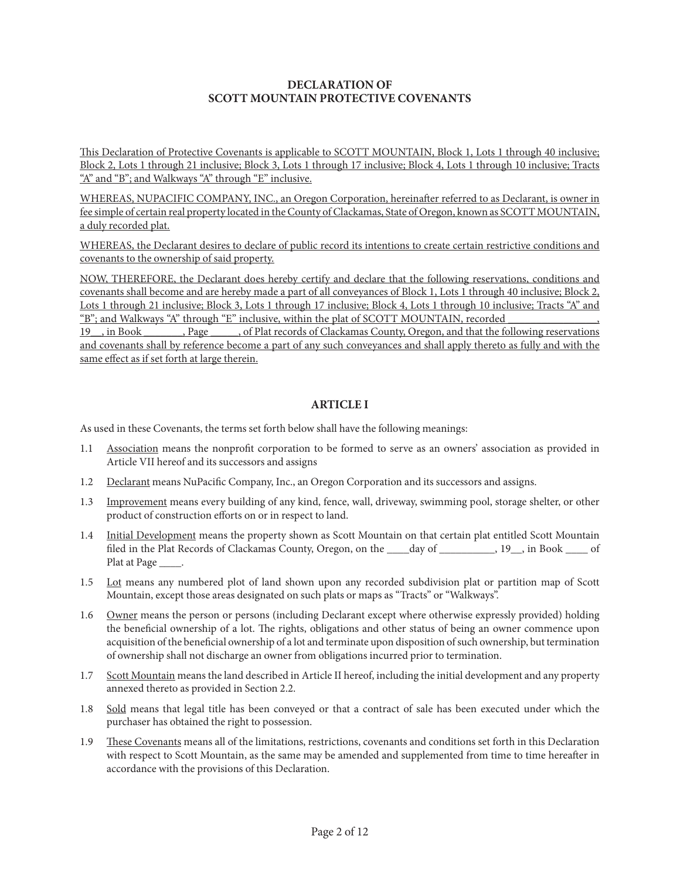### **DECLARATION OF SCOTT MOUNTAIN PROTECTIVE COVENANTS**

This Declaration of Protective Covenants is applicable to SCOTT MOUNTAIN, Block 1, Lots 1 through 40 inclusive; Block 2, Lots 1 through 21 inclusive; Block 3, Lots 1 through 17 inclusive; Block 4, Lots 1 through 10 inclusive; Tracts "A" and "B"; and Walkways "A" through "E" inclusive.

WHEREAS, NUPACIFIC COMPANY, INC., an Oregon Corporation, hereinafter referred to as Declarant, is owner in fee simple of certain real property located in the County of Clackamas, State of Oregon, known as SCOTT MOUNTAIN, a duly recorded plat.

WHEREAS, the Declarant desires to declare of public record its intentions to create certain restrictive conditions and covenants to the ownership of said property.

NOW, THEREFORE, the Declarant does hereby certify and declare that the following reservations, conditions and covenants shall become and are hereby made a part of all conveyances of Block 1, Lots 1 through 40 inclusive; Block 2, Lots 1 through 21 inclusive; Block 3, Lots 1 through 17 inclusive; Block 4, Lots 1 through 10 inclusive; Tracts "A" and "B"; and Walkways "A" through "E" inclusive, within the plat of SCOTT MOUNTAIN, recorded

19 , in Book Rage , of Plat records of Clackamas County, Oregon, and that the following reservations and covenants shall by reference become a part of any such conveyances and shall apply thereto as fully and with the same effect as if set forth at large therein.

## **ARTICLE I**

As used in these Covenants, the terms set forth below shall have the following meanings:

- 1.1 Association means the nonprofit corporation to be formed to serve as an owners' association as provided in Article VII hereof and its successors and assigns
- 1.2 Declarant means NuPacific Company, Inc., an Oregon Corporation and its successors and assigns.
- 1.3 Improvement means every building of any kind, fence, wall, driveway, swimming pool, storage shelter, or other product of construction efforts on or in respect to land.
- 1.4 Initial Development means the property shown as Scott Mountain on that certain plat entitled Scott Mountain filed in the Plat Records of Clackamas County, Oregon, on the \_\_\_\_day of \_\_\_\_\_\_\_\_, 19\_, in Book \_\_\_\_ of Plat at Page \_\_\_\_\_.
- 1.5 Lot means any numbered plot of land shown upon any recorded subdivision plat or partition map of Scott Mountain, except those areas designated on such plats or maps as "Tracts" or "Walkways".
- 1.6 Owner means the person or persons (including Declarant except where otherwise expressly provided) holding the beneficial ownership of a lot. The rights, obligations and other status of being an owner commence upon acquisition of the beneficial ownership of a lot and terminate upon disposition of such ownership, but termination of ownership shall not discharge an owner from obligations incurred prior to termination.
- 1.7 Scott Mountain means the land described in Article II hereof, including the initial development and any property annexed thereto as provided in Section 2.2.
- 1.8 Sold means that legal title has been conveyed or that a contract of sale has been executed under which the purchaser has obtained the right to possession.
- 1.9 These Covenants means all of the limitations, restrictions, covenants and conditions set forth in this Declaration with respect to Scott Mountain, as the same may be amended and supplemented from time to time hereafter in accordance with the provisions of this Declaration.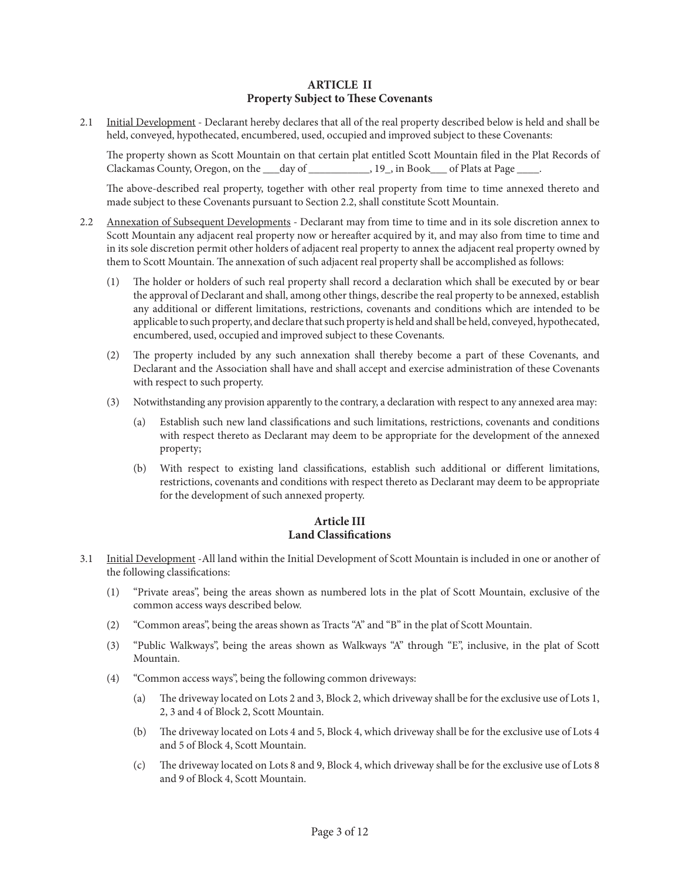### **ARTICLE II Property Subject to These Covenants**

2.1 Initial Development - Declarant hereby declares that all of the real property described below is held and shall be held, conveyed, hypothecated, encumbered, used, occupied and improved subject to these Covenants:

The property shown as Scott Mountain on that certain plat entitled Scott Mountain filed in the Plat Records of Clackamas County, Oregon, on the \_\_\_day of \_\_\_\_\_\_\_\_\_\_\_, 19\_, in Book\_\_\_ of Plats at Page \_\_\_\_.

The above-described real property, together with other real property from time to time annexed thereto and made subject to these Covenants pursuant to Section 2.2, shall constitute Scott Mountain.

- 2.2 Annexation of Subsequent Developments Declarant may from time to time and in its sole discretion annex to Scott Mountain any adjacent real property now or hereafter acquired by it, and may also from time to time and in its sole discretion permit other holders of adjacent real property to annex the adjacent real property owned by them to Scott Mountain. The annexation of such adjacent real property shall be accomplished as follows:
	- (1) The holder or holders of such real property shall record a declaration which shall be executed by or bear the approval of Declarant and shall, among other things, describe the real property to be annexed, establish any additional or different limitations, restrictions, covenants and conditions which are intended to be applicable to such property, and declare that such property is held and shall be held, conveyed, hypothecated, encumbered, used, occupied and improved subject to these Covenants.
	- (2) The property included by any such annexation shall thereby become a part of these Covenants, and Declarant and the Association shall have and shall accept and exercise administration of these Covenants with respect to such property.
	- (3) Notwithstanding any provision apparently to the contrary, a declaration with respect to any annexed area may:
		- (a) Establish such new land classifications and such limitations, restrictions, covenants and conditions with respect thereto as Declarant may deem to be appropriate for the development of the annexed property;
		- (b) With respect to existing land classifications, establish such additional or different limitations, restrictions, covenants and conditions with respect thereto as Declarant may deem to be appropriate for the development of such annexed property.

## **Article III Land Classifications**

- 3.1 Initial Development -All land within the Initial Development of Scott Mountain is included in one or another of the following classifications:
	- (1) "Private areas", being the areas shown as numbered lots in the plat of Scott Mountain, exclusive of the common access ways described below.
	- (2) "Common areas", being the areas shown as Tracts "A" and "B" in the plat of Scott Mountain.
	- (3) "Public Walkways", being the areas shown as Walkways "A" through "E", inclusive, in the plat of Scott Mountain.
	- (4) "Common access ways", being the following common driveways:
		- (a) The driveway located on Lots 2 and 3, Block 2, which driveway shall be for the exclusive use of Lots 1, 2, 3 and 4 of Block 2, Scott Mountain.
		- (b) The driveway located on Lots 4 and 5, Block 4, which driveway shall be for the exclusive use of Lots 4 and 5 of Block 4, Scott Mountain.
		- (c) The driveway located on Lots 8 and 9, Block 4, which driveway shall be for the exclusive use of Lots 8 and 9 of Block 4, Scott Mountain.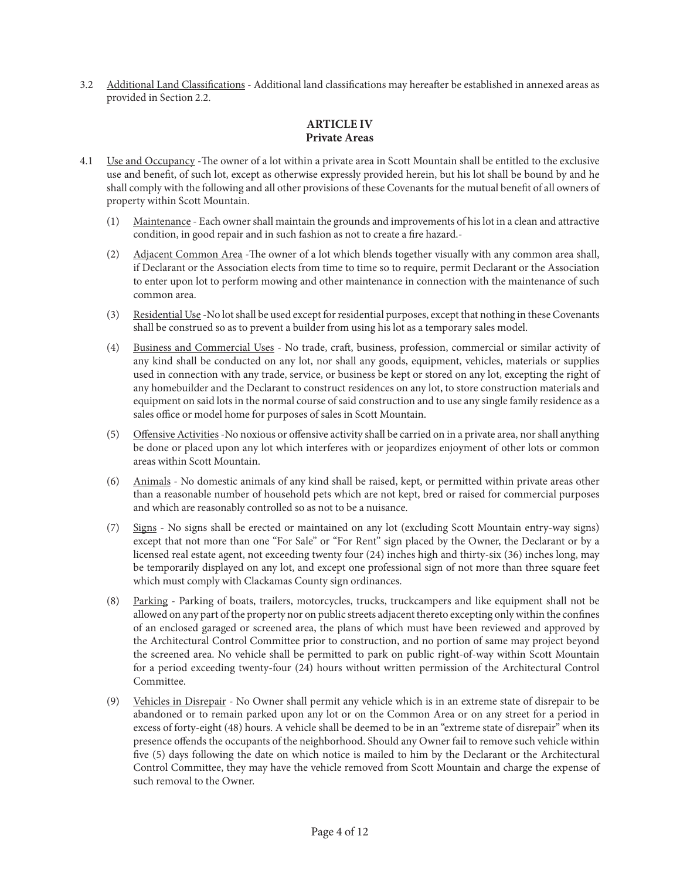3.2 Additional Land Classifications - Additional land classifications may hereafter be established in annexed areas as provided in Section 2.2.

# **ARTICLE IV Private Areas**

- 4.1 Use and Occupancy -The owner of a lot within a private area in Scott Mountain shall be entitled to the exclusive use and benefit, of such lot, except as otherwise expressly provided herein, but his lot shall be bound by and he shall comply with the following and all other provisions of these Covenants for the mutual benefit of all owners of property within Scott Mountain.
	- (1) Maintenance Each owner shall maintain the grounds and improvements of his lot in a clean and attractive condition, in good repair and in such fashion as not to create a fire hazard.-
	- (2) Adjacent Common Area -The owner of a lot which blends together visually with any common area shall, if Declarant or the Association elects from time to time so to require, permit Declarant or the Association to enter upon lot to perform mowing and other maintenance in connection with the maintenance of such common area.
	- (3) Residential Use -No lot shall be used except for residential purposes, except that nothing in these Covenants shall be construed so as to prevent a builder from using his lot as a temporary sales model.
	- (4) Business and Commercial Uses No trade, craft, business, profession, commercial or similar activity of any kind shall be conducted on any lot, nor shall any goods, equipment, vehicles, materials or supplies used in connection with any trade, service, or business be kept or stored on any lot, excepting the right of any homebuilder and the Declarant to construct residences on any lot, to store construction materials and equipment on said lots in the normal course of said construction and to use any single family residence as a sales office or model home for purposes of sales in Scott Mountain.
	- (5) Offensive Activities -No noxious or offensive activity shall be carried on in a private area, nor shall anything be done or placed upon any lot which interferes with or jeopardizes enjoyment of other lots or common areas within Scott Mountain.
	- (6) Animals No domestic animals of any kind shall be raised, kept, or permitted within private areas other than a reasonable number of household pets which are not kept, bred or raised for commercial purposes and which are reasonably controlled so as not to be a nuisance.
	- (7) Signs No signs shall be erected or maintained on any lot (excluding Scott Mountain entry-way signs) except that not more than one "For Sale" or "For Rent" sign placed by the Owner, the Declarant or by a licensed real estate agent, not exceeding twenty four (24) inches high and thirty-six (36) inches long, may be temporarily displayed on any lot, and except one professional sign of not more than three square feet which must comply with Clackamas County sign ordinances.
	- (8) Parking Parking of boats, trailers, motorcycles, trucks, truckcampers and like equipment shall not be allowed on any part of the property nor on public streets adjacent thereto excepting only within the confines of an enclosed garaged or screened area, the plans of which must have been reviewed and approved by the Architectural Control Committee prior to construction, and no portion of same may project beyond the screened area. No vehicle shall be permitted to park on public right-of-way within Scott Mountain for a period exceeding twenty-four (24) hours without written permission of the Architectural Control Committee.
	- (9) Vehicles in Disrepair No Owner shall permit any vehicle which is in an extreme state of disrepair to be abandoned or to remain parked upon any lot or on the Common Area or on any street for a period in excess of forty-eight (48) hours. A vehicle shall be deemed to be in an "extreme state of disrepair" when its presence offends the occupants of the neighborhood. Should any Owner fail to remove such vehicle within five (5) days following the date on which notice is mailed to him by the Declarant or the Architectural Control Committee, they may have the vehicle removed from Scott Mountain and charge the expense of such removal to the Owner.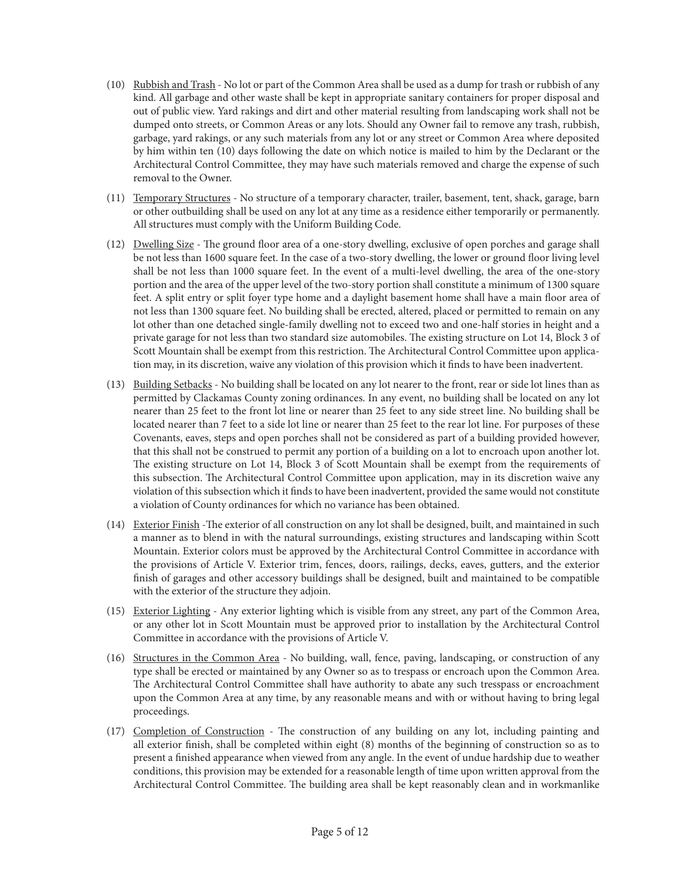- (10) Rubbish and Trash No lot or part of the Common Area shall be used as a dump for trash or rubbish of any kind. All garbage and other waste shall be kept in appropriate sanitary containers for proper disposal and out of public view. Yard rakings and dirt and other material resulting from landscaping work shall not be dumped onto streets, or Common Areas or any lots. Should any Owner fail to remove any trash, rubbish, garbage, yard rakings, or any such materials from any lot or any street or Common Area where deposited by him within ten (10) days following the date on which notice is mailed to him by the Declarant or the Architectural Control Committee, they may have such materials removed and charge the expense of such removal to the Owner.
- (11) Temporary Structures No structure of a temporary character, trailer, basement, tent, shack, garage, barn or other outbuilding shall be used on any lot at any time as a residence either temporarily or permanently. All structures must comply with the Uniform Building Code.
- (12) Dwelling Size The ground floor area of a one-story dwelling, exclusive of open porches and garage shall be not less than 1600 square feet. In the case of a two-story dwelling, the lower or ground floor living level shall be not less than 1000 square feet. In the event of a multi-level dwelling, the area of the one-story portion and the area of the upper level of the two-story portion shall constitute a minimum of 1300 square feet. A split entry or split foyer type home and a daylight basement home shall have a main floor area of not less than 1300 square feet. No building shall be erected, altered, placed or permitted to remain on any lot other than one detached single-family dwelling not to exceed two and one-half stories in height and a private garage for not less than two standard size automobiles. The existing structure on Lot 14, Block 3 of Scott Mountain shall be exempt from this restriction. The Architectural Control Committee upon application may, in its discretion, waive any violation of this provision which it finds to have been inadvertent.
- (13) Building Setbacks No building shall be located on any lot nearer to the front, rear or side lot lines than as permitted by Clackamas County zoning ordinances. In any event, no building shall be located on any lot nearer than 25 feet to the front lot line or nearer than 25 feet to any side street line. No building shall be located nearer than 7 feet to a side lot line or nearer than 25 feet to the rear lot line. For purposes of these Covenants, eaves, steps and open porches shall not be considered as part of a building provided however, that this shall not be construed to permit any portion of a building on a lot to encroach upon another lot. The existing structure on Lot 14, Block 3 of Scott Mountain shall be exempt from the requirements of this subsection. The Architectural Control Committee upon application, may in its discretion waive any violation of this subsection which it finds to have been inadvertent, provided the same would not constitute a violation of County ordinances for which no variance has been obtained.
- (14) Exterior Finish -The exterior of all construction on any lot shall be designed, built, and maintained in such a manner as to blend in with the natural surroundings, existing structures and landscaping within Scott Mountain. Exterior colors must be approved by the Architectural Control Committee in accordance with the provisions of Article V. Exterior trim, fences, doors, railings, decks, eaves, gutters, and the exterior finish of garages and other accessory buildings shall be designed, built and maintained to be compatible with the exterior of the structure they adjoin.
- (15) Exterior Lighting Any exterior lighting which is visible from any street, any part of the Common Area, or any other lot in Scott Mountain must be approved prior to installation by the Architectural Control Committee in accordance with the provisions of Article V.
- (16) Structures in the Common Area No building, wall, fence, paving, landscaping, or construction of any type shall be erected or maintained by any Owner so as to trespass or encroach upon the Common Area. The Architectural Control Committee shall have authority to abate any such tresspass or encroachment upon the Common Area at any time, by any reasonable means and with or without having to bring legal proceedings.
- (17) Completion of Construction The construction of any building on any lot, including painting and all exterior finish, shall be completed within eight (8) months of the beginning of construction so as to present a finished appearance when viewed from any angle. In the event of undue hardship due to weather conditions, this provision may be extended for a reasonable length of time upon written approval from the Architectural Control Committee. The building area shall be kept reasonably clean and in workmanlike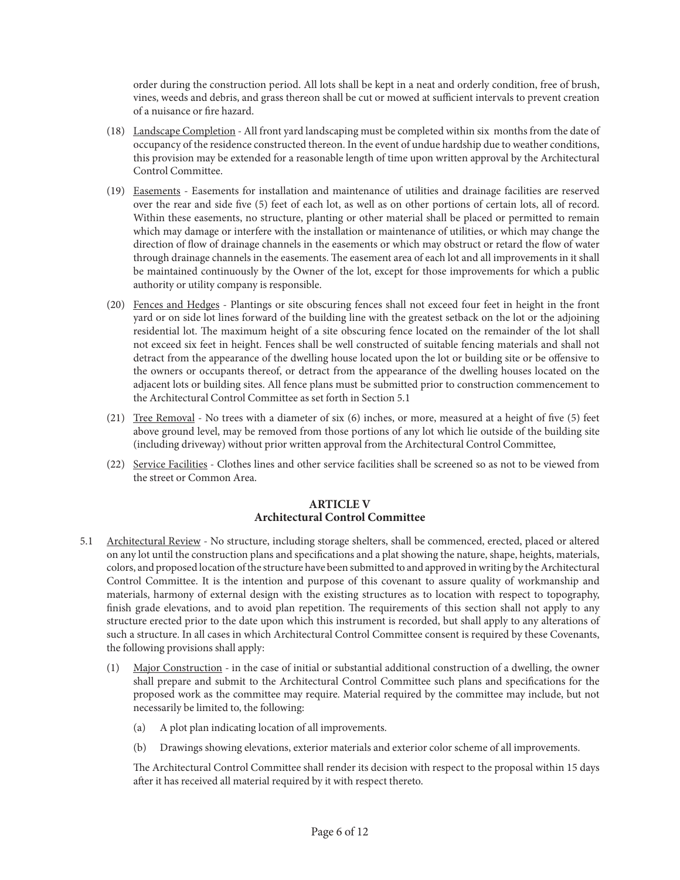order during the construction period. All lots shall be kept in a neat and orderly condition, free of brush, vines, weeds and debris, and grass thereon shall be cut or mowed at sufficient intervals to prevent creation of a nuisance or fire hazard.

- (18) Landscape Completion All front yard landscaping must be completed within six months from the date of occupancy of the residence constructed thereon. In the event of undue hardship due to weather conditions, this provision may be extended for a reasonable length of time upon written approval by the Architectural Control Committee.
- (19) Easements Easements for installation and maintenance of utilities and drainage facilities are reserved over the rear and side five (5) feet of each lot, as well as on other portions of certain lots, all of record. Within these easements, no structure, planting or other material shall be placed or permitted to remain which may damage or interfere with the installation or maintenance of utilities, or which may change the direction of flow of drainage channels in the easements or which may obstruct or retard the flow of water through drainage channels in the easements. The easement area of each lot and all improvements in it shall be maintained continuously by the Owner of the lot, except for those improvements for which a public authority or utility company is responsible.
- (20) Fences and Hedges Plantings or site obscuring fences shall not exceed four feet in height in the front yard or on side lot lines forward of the building line with the greatest setback on the lot or the adjoining residential lot. The maximum height of a site obscuring fence located on the remainder of the lot shall not exceed six feet in height. Fences shall be well constructed of suitable fencing materials and shall not detract from the appearance of the dwelling house located upon the lot or building site or be offensive to the owners or occupants thereof, or detract from the appearance of the dwelling houses located on the adjacent lots or building sites. All fence plans must be submitted prior to construction commencement to the Architectural Control Committee as set forth in Section 5.1
- (21) Tree Removal No trees with a diameter of six (6) inches, or more, measured at a height of five (5) feet above ground level, may be removed from those portions of any lot which lie outside of the building site (including driveway) without prior written approval from the Architectural Control Committee,
- (22) Service Facilities Clothes lines and other service facilities shall be screened so as not to be viewed from the street or Common Area.

#### **ARTICLE V Architectural Control Committee**

- 5.1 Architectural Review No structure, including storage shelters, shall be commenced, erected, placed or altered on any lot until the construction plans and specifications and a plat showing the nature, shape, heights, materials, colors, and proposed location of the structure have been submitted to and approved in writing by the Architectural Control Committee. It is the intention and purpose of this covenant to assure quality of workmanship and materials, harmony of external design with the existing structures as to location with respect to topography, finish grade elevations, and to avoid plan repetition. The requirements of this section shall not apply to any structure erected prior to the date upon which this instrument is recorded, but shall apply to any alterations of such a structure. In all cases in which Architectural Control Committee consent is required by these Covenants, the following provisions shall apply:
	- (1) Major Construction in the case of initial or substantial additional construction of a dwelling, the owner shall prepare and submit to the Architectural Control Committee such plans and specifications for the proposed work as the committee may require. Material required by the committee may include, but not necessarily be limited to, the following:
		- (a) A plot plan indicating location of all improvements.
		- (b) Drawings showing elevations, exterior materials and exterior color scheme of all improvements.

The Architectural Control Committee shall render its decision with respect to the proposal within 15 days after it has received all material required by it with respect thereto.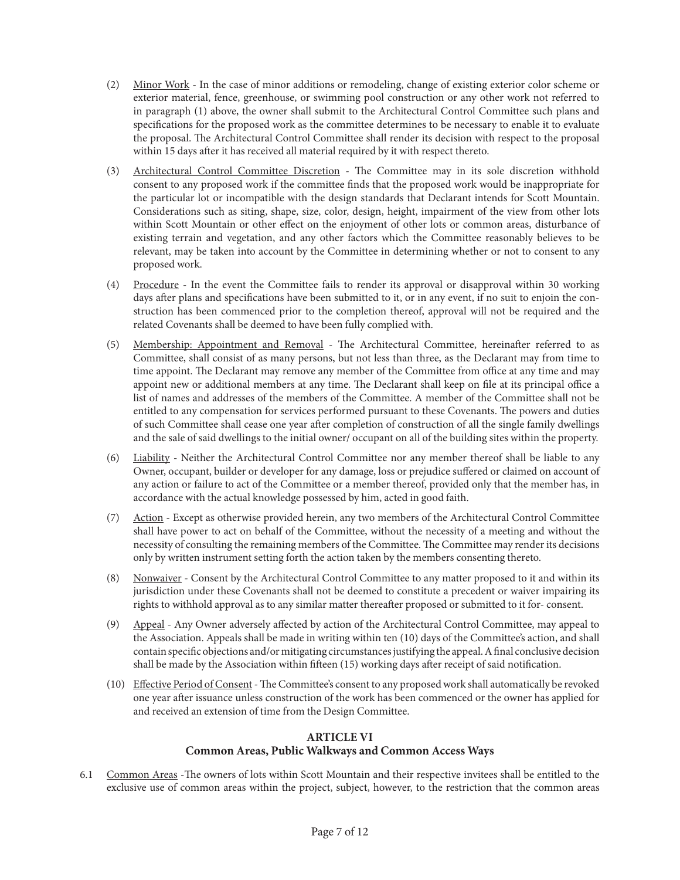- (2) Minor Work In the case of minor additions or remodeling, change of existing exterior color scheme or exterior material, fence, greenhouse, or swimming pool construction or any other work not referred to in paragraph (1) above, the owner shall submit to the Architectural Control Committee such plans and specifications for the proposed work as the committee determines to be necessary to enable it to evaluate the proposal. The Architectural Control Committee shall render its decision with respect to the proposal within 15 days after it has received all material required by it with respect thereto.
- (3) Architectural Control Committee Discretion The Committee may in its sole discretion withhold consent to any proposed work if the committee finds that the proposed work would be inappropriate for the particular lot or incompatible with the design standards that Declarant intends for Scott Mountain. Considerations such as siting, shape, size, color, design, height, impairment of the view from other lots within Scott Mountain or other effect on the enjoyment of other lots or common areas, disturbance of existing terrain and vegetation, and any other factors which the Committee reasonably believes to be relevant, may be taken into account by the Committee in determining whether or not to consent to any proposed work.
- (4) Procedure In the event the Committee fails to render its approval or disapproval within 30 working days after plans and specifications have been submitted to it, or in any event, if no suit to enjoin the construction has been commenced prior to the completion thereof, approval will not be required and the related Covenants shall be deemed to have been fully complied with.
- (5) Membership: Appointment and Removal The Architectural Committee, hereinafter referred to as Committee, shall consist of as many persons, but not less than three, as the Declarant may from time to time appoint. The Declarant may remove any member of the Committee from office at any time and may appoint new or additional members at any time. The Declarant shall keep on file at its principal office a list of names and addresses of the members of the Committee. A member of the Committee shall not be entitled to any compensation for services performed pursuant to these Covenants. The powers and duties of such Committee shall cease one year after completion of construction of all the single family dwellings and the sale of said dwellings to the initial owner/ occupant on all of the building sites within the property.
- (6) Liability Neither the Architectural Control Committee nor any member thereof shall be liable to any Owner, occupant, builder or developer for any damage, loss or prejudice suffered or claimed on account of any action or failure to act of the Committee or a member thereof, provided only that the member has, in accordance with the actual knowledge possessed by him, acted in good faith.
- (7) Action Except as otherwise provided herein, any two members of the Architectural Control Committee shall have power to act on behalf of the Committee, without the necessity of a meeting and without the necessity of consulting the remaining members of the Committee. The Committee may render its decisions only by written instrument setting forth the action taken by the members consenting thereto.
- (8) Nonwaiver Consent by the Architectural Control Committee to any matter proposed to it and within its jurisdiction under these Covenants shall not be deemed to constitute a precedent or waiver impairing its rights to withhold approval as to any similar matter thereafter proposed or submitted to it for- consent.
- (9) Appeal Any Owner adversely affected by action of the Architectural Control Committee, may appeal to the Association. Appeals shall be made in writing within ten (10) days of the Committee's action, and shall contain specific objections and/or mitigating circumstances justifying the appeal. A final conclusive decision shall be made by the Association within fifteen (15) working days after receipt of said notification.
- (10) Effective Period of Consent The Committee's consent to any proposed work shall automatically be revoked one year after issuance unless construction of the work has been commenced or the owner has applied for and received an extension of time from the Design Committee.

## **ARTICLE VI Common Areas, Public Walkways and Common Access Ways**

6.1 Common Areas -The owners of lots within Scott Mountain and their respective invitees shall be entitled to the exclusive use of common areas within the project, subject, however, to the restriction that the common areas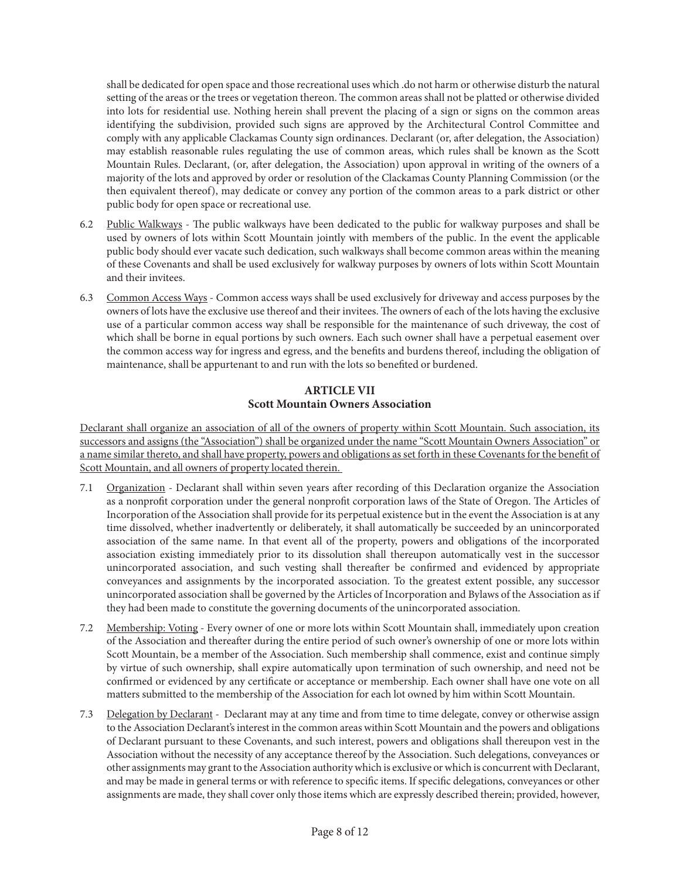shall be dedicated for open space and those recreational uses which .do not harm or otherwise disturb the natural setting of the areas or the trees or vegetation thereon. The common areas shall not be platted or otherwise divided into lots for residential use. Nothing herein shall prevent the placing of a sign or signs on the common areas identifying the subdivision, provided such signs are approved by the Architectural Control Committee and comply with any applicable Clackamas County sign ordinances. Declarant (or, after delegation, the Association) may establish reasonable rules regulating the use of common areas, which rules shall be known as the Scott Mountain Rules. Declarant, (or, after delegation, the Association) upon approval in writing of the owners of a majority of the lots and approved by order or resolution of the Clackamas County Planning Commission (or the then equivalent thereof), may dedicate or convey any portion of the common areas to a park district or other public body for open space or recreational use.

- 6.2 Public Walkways The public walkways have been dedicated to the public for walkway purposes and shall be used by owners of lots within Scott Mountain jointly with members of the public. In the event the applicable public body should ever vacate such dedication, such walkways shall become common areas within the meaning of these Covenants and shall be used exclusively for walkway purposes by owners of lots within Scott Mountain and their invitees.
- 6.3 Common Access Ways Common access ways shall be used exclusively for driveway and access purposes by the owners of lots have the exclusive use thereof and their invitees. The owners of each of the lots having the exclusive use of a particular common access way shall be responsible for the maintenance of such driveway, the cost of which shall be borne in equal portions by such owners. Each such owner shall have a perpetual easement over the common access way for ingress and egress, and the benefits and burdens thereof, including the obligation of maintenance, shall be appurtenant to and run with the lots so benefited or burdened.

## **ARTICLE VII Scott Mountain Owners Association**

Declarant shall organize an association of all of the owners of property within Scott Mountain. Such association, its successors and assigns (the "Association") shall be organized under the name "Scott Mountain Owners Association" or a name similar thereto, and shall have property, powers and obligations as set forth in these Covenants for the benefit of Scott Mountain, and all owners of property located therein.

- 7.1 Organization Declarant shall within seven years after recording of this Declaration organize the Association as a nonprofit corporation under the general nonprofit corporation laws of the State of Oregon. The Articles of Incorporation of the Association shall provide for its perpetual existence but in the event the Association is at any time dissolved, whether inadvertently or deliberately, it shall automatically be succeeded by an unincorporated association of the same name. In that event all of the property, powers and obligations of the incorporated association existing immediately prior to its dissolution shall thereupon automatically vest in the successor unincorporated association, and such vesting shall thereafter be confirmed and evidenced by appropriate conveyances and assignments by the incorporated association. To the greatest extent possible, any successor unincorporated association shall be governed by the Articles of Incorporation and Bylaws of the Association as if they had been made to constitute the governing documents of the unincorporated association.
- 7.2 Membership: Voting Every owner of one or more lots within Scott Mountain shall, immediately upon creation of the Association and thereafter during the entire period of such owner's ownership of one or more lots within Scott Mountain, be a member of the Association. Such membership shall commence, exist and continue simply by virtue of such ownership, shall expire automatically upon termination of such ownership, and need not be confirmed or evidenced by any certificate or acceptance or membership. Each owner shall have one vote on all matters submitted to the membership of the Association for each lot owned by him within Scott Mountain.
- 7.3 Delegation by Declarant Declarant may at any time and from time to time delegate, convey or otherwise assign to the Association Declarant's interest in the common areas within Scott Mountain and the powers and obligations of Declarant pursuant to these Covenants, and such interest, powers and obligations shall thereupon vest in the Association without the necessity of any acceptance thereof by the Association. Such delegations, conveyances or other assignments may grant to the Association authority which is exclusive or which is concurrent with Declarant, and may be made in general terms or with reference to specific items. If specific delegations, conveyances or other assignments are made, they shall cover only those items which are expressly described therein; provided, however,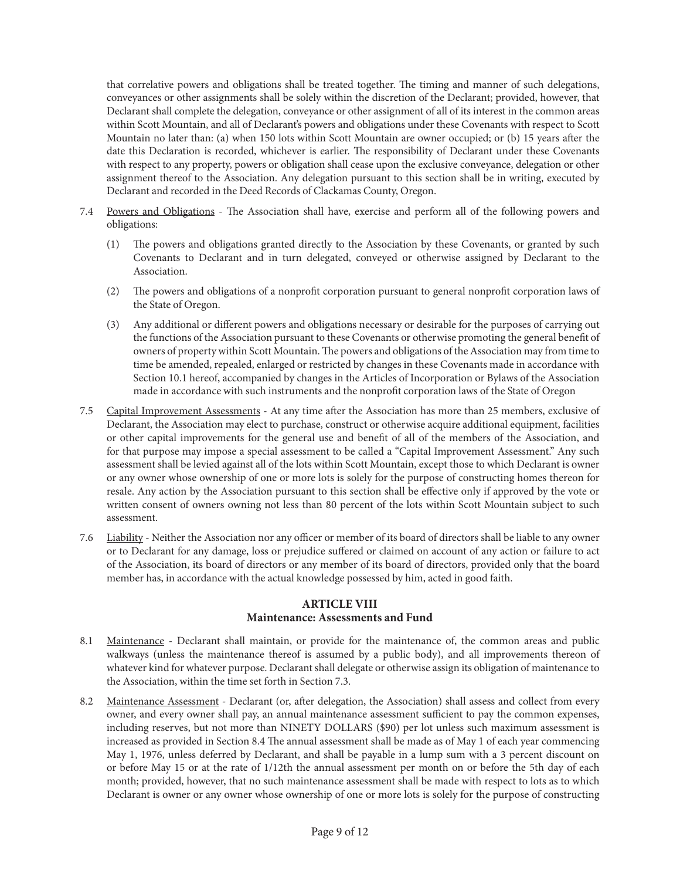that correlative powers and obligations shall be treated together. The timing and manner of such delegations, conveyances or other assignments shall be solely within the discretion of the Declarant; provided, however, that Declarant shall complete the delegation, conveyance or other assignment of all of its interest in the common areas within Scott Mountain, and all of Declarant's powers and obligations under these Covenants with respect to Scott Mountain no later than: (a) when 150 lots within Scott Mountain are owner occupied; or (b) 15 years after the date this Declaration is recorded, whichever is earlier. The responsibility of Declarant under these Covenants with respect to any property, powers or obligation shall cease upon the exclusive conveyance, delegation or other assignment thereof to the Association. Any delegation pursuant to this section shall be in writing, executed by Declarant and recorded in the Deed Records of Clackamas County, Oregon.

- 7.4 Powers and Obligations The Association shall have, exercise and perform all of the following powers and obligations:
	- (1) The powers and obligations granted directly to the Association by these Covenants, or granted by such Covenants to Declarant and in turn delegated, conveyed or otherwise assigned by Declarant to the Association.
	- (2) The powers and obligations of a nonprofit corporation pursuant to general nonprofit corporation laws of the State of Oregon.
	- (3) Any additional or different powers and obligations necessary or desirable for the purposes of carrying out the functions of the Association pursuant to these Covenants or otherwise promoting the general benefit of owners of property within Scott Mountain. The powers and obligations of the Association may from time to time be amended, repealed, enlarged or restricted by changes in these Covenants made in accordance with Section 10.1 hereof, accompanied by changes in the Articles of Incorporation or Bylaws of the Association made in accordance with such instruments and the nonprofit corporation laws of the State of Oregon
- 7.5 Capital Improvement Assessments At any time after the Association has more than 25 members, exclusive of Declarant, the Association may elect to purchase, construct or otherwise acquire additional equipment, facilities or other capital improvements for the general use and benefit of all of the members of the Association, and for that purpose may impose a special assessment to be called a "Capital Improvement Assessment." Any such assessment shall be levied against all of the lots within Scott Mountain, except those to which Declarant is owner or any owner whose ownership of one or more lots is solely for the purpose of constructing homes thereon for resale. Any action by the Association pursuant to this section shall be effective only if approved by the vote or written consent of owners owning not less than 80 percent of the lots within Scott Mountain subject to such assessment.
- 7.6 Liability Neither the Association nor any officer or member of its board of directors shall be liable to any owner or to Declarant for any damage, loss or prejudice suffered or claimed on account of any action or failure to act of the Association, its board of directors or any member of its board of directors, provided only that the board member has, in accordance with the actual knowledge possessed by him, acted in good faith.

### **ARTICLE VIII Maintenance: Assessments and Fund**

- 8.1 Maintenance Declarant shall maintain, or provide for the maintenance of, the common areas and public walkways (unless the maintenance thereof is assumed by a public body), and all improvements thereon of whatever kind for whatever purpose. Declarant shall delegate or otherwise assign its obligation of maintenance to the Association, within the time set forth in Section 7.3.
- 8.2 Maintenance Assessment Declarant (or, after delegation, the Association) shall assess and collect from every owner, and every owner shall pay, an annual maintenance assessment sufficient to pay the common expenses, including reserves, but not more than NINETY DOLLARS (\$90) per lot unless such maximum assessment is increased as provided in Section 8.4 The annual assessment shall be made as of May 1 of each year commencing May 1, 1976, unless deferred by Declarant, and shall be payable in a lump sum with a 3 percent discount on or before May 15 or at the rate of 1/12th the annual assessment per month on or before the 5th day of each month; provided, however, that no such maintenance assessment shall be made with respect to lots as to which Declarant is owner or any owner whose ownership of one or more lots is solely for the purpose of constructing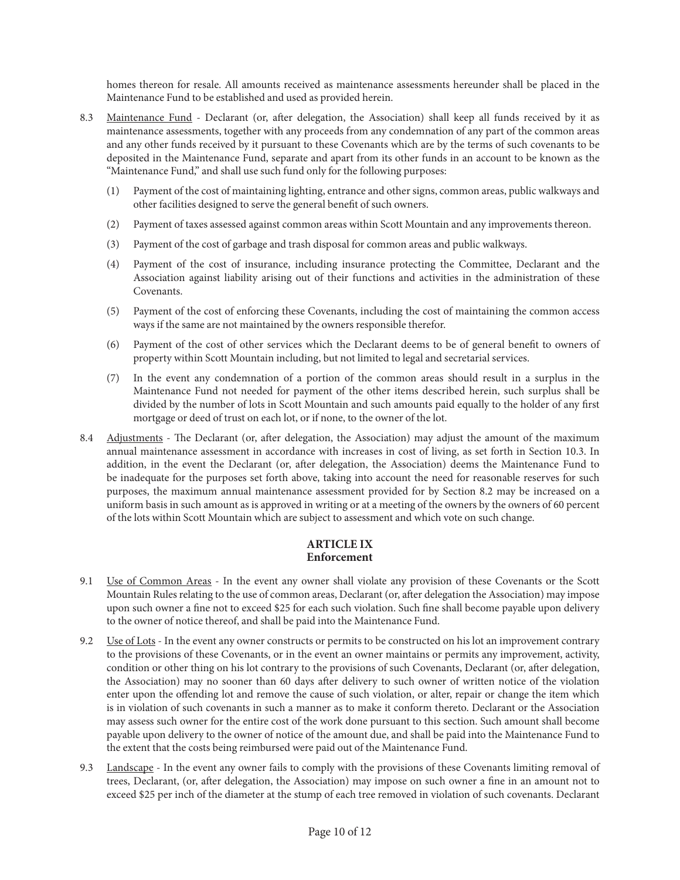homes thereon for resale. All amounts received as maintenance assessments hereunder shall be placed in the Maintenance Fund to be established and used as provided herein.

- 8.3 Maintenance Fund Declarant (or, after delegation, the Association) shall keep all funds received by it as maintenance assessments, together with any proceeds from any condemnation of any part of the common areas and any other funds received by it pursuant to these Covenants which are by the terms of such covenants to be deposited in the Maintenance Fund, separate and apart from its other funds in an account to be known as the "Maintenance Fund," and shall use such fund only for the following purposes:
	- (1) Payment of the cost of maintaining lighting, entrance and other signs, common areas, public walkways and other facilities designed to serve the general benefit of such owners.
	- (2) Payment of taxes assessed against common areas within Scott Mountain and any improvements thereon.
	- (3) Payment of the cost of garbage and trash disposal for common areas and public walkways.
	- (4) Payment of the cost of insurance, including insurance protecting the Committee, Declarant and the Association against liability arising out of their functions and activities in the administration of these Covenants.
	- (5) Payment of the cost of enforcing these Covenants, including the cost of maintaining the common access ways if the same are not maintained by the owners responsible therefor.
	- (6) Payment of the cost of other services which the Declarant deems to be of general benefit to owners of property within Scott Mountain including, but not limited to legal and secretarial services.
	- (7) In the event any condemnation of a portion of the common areas should result in a surplus in the Maintenance Fund not needed for payment of the other items described herein, such surplus shall be divided by the number of lots in Scott Mountain and such amounts paid equally to the holder of any first mortgage or deed of trust on each lot, or if none, to the owner of the lot.
- 8.4 Adjustments The Declarant (or, after delegation, the Association) may adjust the amount of the maximum annual maintenance assessment in accordance with increases in cost of living, as set forth in Section 10.3. In addition, in the event the Declarant (or, after delegation, the Association) deems the Maintenance Fund to be inadequate for the purposes set forth above, taking into account the need for reasonable reserves for such purposes, the maximum annual maintenance assessment provided for by Section 8.2 may be increased on a uniform basis in such amount as is approved in writing or at a meeting of the owners by the owners of 60 percent of the lots within Scott Mountain which are subject to assessment and which vote on such change.

#### **ARTICLE IX Enforcement**

- 9.1 Use of Common Areas In the event any owner shall violate any provision of these Covenants or the Scott Mountain Rules relating to the use of common areas, Declarant (or, after delegation the Association) may impose upon such owner a fine not to exceed \$25 for each such violation. Such fine shall become payable upon delivery to the owner of notice thereof, and shall be paid into the Maintenance Fund.
- 9.2 Use of Lots In the event any owner constructs or permits to be constructed on his lot an improvement contrary to the provisions of these Covenants, or in the event an owner maintains or permits any improvement, activity, condition or other thing on his lot contrary to the provisions of such Covenants, Declarant (or, after delegation, the Association) may no sooner than 60 days after delivery to such owner of written notice of the violation enter upon the offending lot and remove the cause of such violation, or alter, repair or change the item which is in violation of such covenants in such a manner as to make it conform thereto. Declarant or the Association may assess such owner for the entire cost of the work done pursuant to this section. Such amount shall become payable upon delivery to the owner of notice of the amount due, and shall be paid into the Maintenance Fund to the extent that the costs being reimbursed were paid out of the Maintenance Fund.
- 9.3 Landscape In the event any owner fails to comply with the provisions of these Covenants limiting removal of trees, Declarant, (or, after delegation, the Association) may impose on such owner a fine in an amount not to exceed \$25 per inch of the diameter at the stump of each tree removed in violation of such covenants. Declarant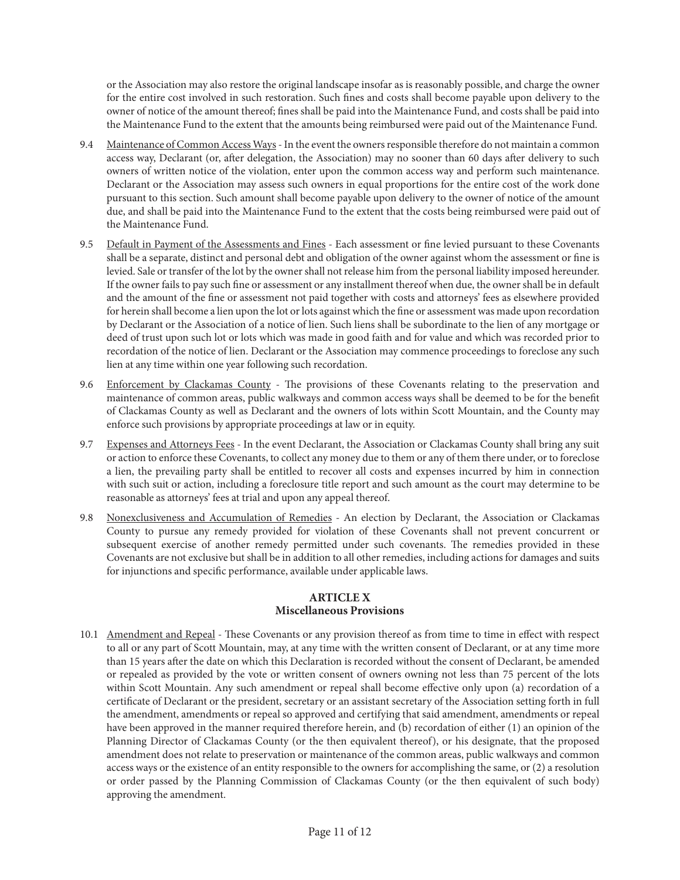or the Association may also restore the original landscape insofar as is reasonably possible, and charge the owner for the entire cost involved in such restoration. Such fines and costs shall become payable upon delivery to the owner of notice of the amount thereof; fines shall be paid into the Maintenance Fund, and costs shall be paid into the Maintenance Fund to the extent that the amounts being reimbursed were paid out of the Maintenance Fund.

- 9.4 Maintenance of Common Access Ways In the event the owners responsible therefore do not maintain a common access way, Declarant (or, after delegation, the Association) may no sooner than 60 days after delivery to such owners of written notice of the violation, enter upon the common access way and perform such maintenance. Declarant or the Association may assess such owners in equal proportions for the entire cost of the work done pursuant to this section. Such amount shall become payable upon delivery to the owner of notice of the amount due, and shall be paid into the Maintenance Fund to the extent that the costs being reimbursed were paid out of the Maintenance Fund.
- 9.5 Default in Payment of the Assessments and Fines Each assessment or fine levied pursuant to these Covenants shall be a separate, distinct and personal debt and obligation of the owner against whom the assessment or fine is levied. Sale or transfer of the lot by the owner shall not release him from the personal liability imposed hereunder. If the owner fails to pay such fine or assessment or any installment thereof when due, the owner shall be in default and the amount of the fine or assessment not paid together with costs and attorneys' fees as elsewhere provided for herein shall become a lien upon the lot or lots against which the fine or assessment was made upon recordation by Declarant or the Association of a notice of lien. Such liens shall be subordinate to the lien of any mortgage or deed of trust upon such lot or lots which was made in good faith and for value and which was recorded prior to recordation of the notice of lien. Declarant or the Association may commence proceedings to foreclose any such lien at any time within one year following such recordation.
- 9.6 Enforcement by Clackamas County The provisions of these Covenants relating to the preservation and maintenance of common areas, public walkways and common access ways shall be deemed to be for the benefit of Clackamas County as well as Declarant and the owners of lots within Scott Mountain, and the County may enforce such provisions by appropriate proceedings at law or in equity.
- 9.7 Expenses and Attorneys Fees In the event Declarant, the Association or Clackamas County shall bring any suit or action to enforce these Covenants, to collect any money due to them or any of them there under, or to foreclose a lien, the prevailing party shall be entitled to recover all costs and expenses incurred by him in connection with such suit or action, including a foreclosure title report and such amount as the court may determine to be reasonable as attorneys' fees at trial and upon any appeal thereof.
- 9.8 Nonexclusiveness and Accumulation of Remedies An election by Declarant, the Association or Clackamas County to pursue any remedy provided for violation of these Covenants shall not prevent concurrent or subsequent exercise of another remedy permitted under such covenants. The remedies provided in these Covenants are not exclusive but shall be in addition to all other remedies, including actions for damages and suits for injunctions and specific performance, available under applicable laws.

## **ARTICLE X Miscellaneous Provisions**

10.1 Amendment and Repeal - These Covenants or any provision thereof as from time to time in effect with respect to all or any part of Scott Mountain, may, at any time with the written consent of Declarant, or at any time more than 15 years after the date on which this Declaration is recorded without the consent of Declarant, be amended or repealed as provided by the vote or written consent of owners owning not less than 75 percent of the lots within Scott Mountain. Any such amendment or repeal shall become effective only upon (a) recordation of a certificate of Declarant or the president, secretary or an assistant secretary of the Association setting forth in full the amendment, amendments or repeal so approved and certifying that said amendment, amendments or repeal have been approved in the manner required therefore herein, and (b) recordation of either (1) an opinion of the Planning Director of Clackamas County (or the then equivalent thereof), or his designate, that the proposed amendment does not relate to preservation or maintenance of the common areas, public walkways and common access ways or the existence of an entity responsible to the owners for accomplishing the same, or (2) a resolution or order passed by the Planning Commission of Clackamas County (or the then equivalent of such body) approving the amendment.